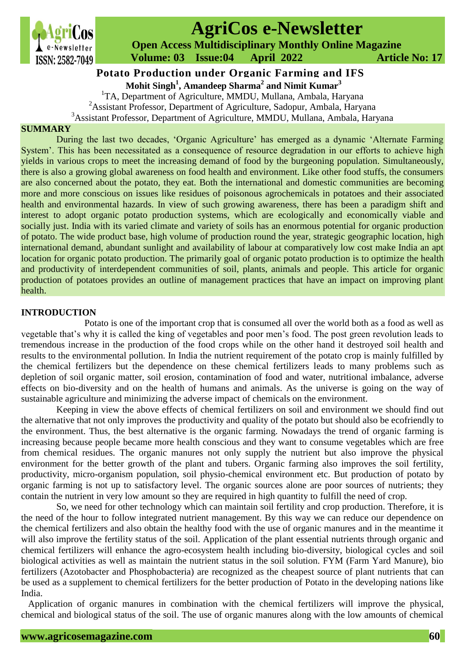

# **AgriCos e-Newsletter**

 **Open Access Multidisciplinary Monthly Online Magazine**

 **ISSN: 2582-7049 Volume: 03 Issue:04 April 2022 Article No: 17** 

## **Mohit Singh<sup>1</sup> , Amandeep Sharma<sup>2</sup> and Nimit Kumar<sup>3</sup> Potato Production under Organic Farming and IFS**

<sup>1</sup>TA, Department of Agriculture, MMDU, Mullana, Ambala, Haryana

<sup>2</sup>Assistant Professor, Department of Agriculture, Sadopur, Ambala, Haryana

<sup>3</sup>Assistant Professor, Department of Agriculture, MMDU, Mullana, Ambala, Haryana

### **SUMMARY**

During the last two decades, 'Organic Agriculture' has emerged as a dynamic 'Alternate Farming System'. This has been necessitated as a consequence of resource degradation in our efforts to achieve high yields in various crops to meet the increasing demand of food by the burgeoning population. Simultaneously, there is also a growing global awareness on food health and environment. Like other food stuffs, the consumers are also concerned about the potato, they eat. Both the international and domestic communities are becoming more and more conscious on issues like residues of poisonous agrochemicals in potatoes and their associated health and environmental hazards. In view of such growing awareness, there has been a paradigm shift and interest to adopt organic potato production systems, which are ecologically and economically viable and socially just. India with its varied climate and variety of soils has an enormous potential for organic production of potato. The wide product base, high volume of production round the year, strategic geographic location, high international demand, abundant sunlight and availability of labour at comparatively low cost make India an apt location for organic potato production. The primarily goal of organic potato production is to optimize the health and productivity of interdependent communities of soil, plants, animals and people. This article for organic production of potatoes provides an outline of management practices that have an impact on improving plant health.

#### **INTRODUCTION**

Potato is one of the important crop that is consumed all over the world both as a food as well as vegetable that's why it is called the king of vegetables and poor men's food. The post green revolution leads to tremendous increase in the production of the food crops while on the other hand it destroyed soil health and results to the environmental pollution. In India the nutrient requirement of the potato crop is mainly fulfilled by the chemical fertilizers but the dependence on these chemical fertilizers leads to many problems such as depletion of soil organic matter, soil erosion, contamination of food and water, nutritional imbalance, adverse effects on bio-diversity and on the health of humans and animals. As the universe is going on the way of sustainable agriculture and minimizing the adverse impact of chemicals on the environment.

Keeping in view the above effects of chemical fertilizers on soil and environment we should find out the alternative that not only improves the productivity and quality of the potato but should also be ecofriendly to the environment. Thus, the best alternative is the organic farming. Nowadays the trend of organic farming is increasing because people became more health conscious and they want to consume vegetables which are free from chemical residues. The organic manures not only supply the nutrient but also improve the physical environment for the better growth of the plant and tubers. Organic farming also improves the soil fertility, productivity, micro-organism population, soil physio-chemical environment etc. But production of potato by organic farming is not up to satisfactory level. The organic sources alone are poor sources of nutrients; they contain the nutrient in very low amount so they are required in high quantity to fulfill the need of crop.

So, we need for other technology which can maintain soil fertility and crop production. Therefore, it is the need of the hour to follow integrated nutrient management. By this way we can reduce our dependence on the chemical fertilizers and also obtain the healthy food with the use of organic manures and in the meantime it will also improve the fertility status of the soil. Application of the plant essential nutrients through organic and chemical fertilizers will enhance the agro-ecosystem health including bio-diversity, biological cycles and soil biological activities as well as maintain the nutrient status in the soil solution. FYM (Farm Yard Manure), bio fertilizers (Azotobacter and Phosphobacteria) are recognized as the cheapest source of plant nutrients that can be used as a supplement to chemical fertilizers for the better production of Potato in the developing nations like India.

Application of organic manures in combination with the chemical fertilizers will improve the physical, chemical and biological status of the soil. The use of organic manures along with the low amounts of chemical